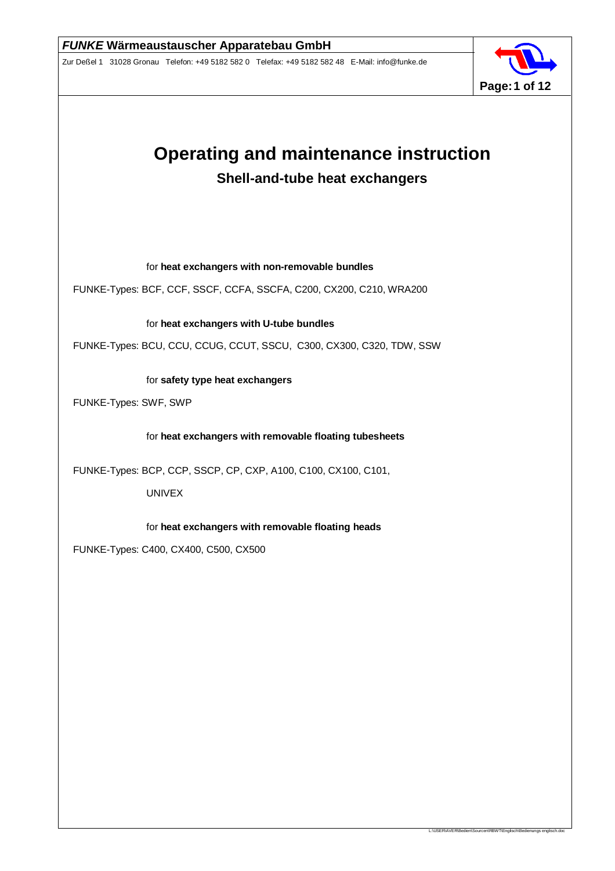

L:\USER\AVER\Bedien\Sourcen\RBWT\Englisch\Bedienungs engl

# **Operating and maintenance instruction Shell-and-tube heat exchangers**

for **heat exchangers with non-removable bundles**

FUNKE-Types: BCF, CCF, SSCF, CCFA, SSCFA, C200, CX200, C210, WRA200

for **heat exchangers with U-tube bundles**

FUNKE-Types: BCU, CCU, CCUG, CCUT, SSCU, C300, CX300, C320, TDW, SSW

for **safety type heat exchangers**

FUNKE-Types: SWF, SWP

for **heat exchangers with removable floating tubesheets**

FUNKE-Types: BCP, CCP, SSCP, CP, CXP, A100, C100, CX100, C101,

UNIVEX

for **heat exchangers with removable floating heads**

FUNKE-Types: C400, CX400, C500, CX500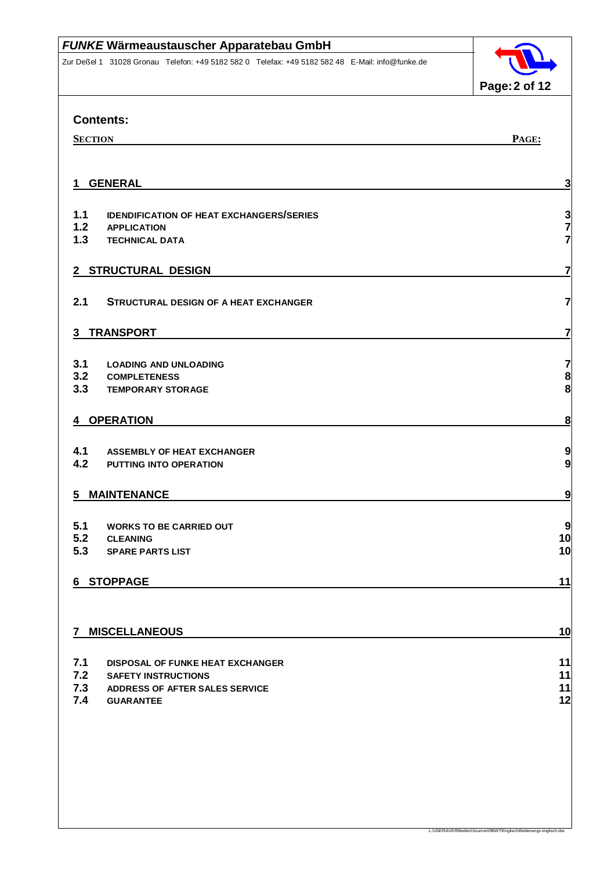Zur Deßel 1 31028 Gronau Telefon: +49 5182 582 0 Telefax: +49 5182 582 48 E-Mail: info@funke.de



L:\USER\AVER\Bedien\Sourcen\RBWT\Englisch\Bedienungs englisch.doc

| <b>Contents:</b>                       |                                                             |                                       |  |  |
|----------------------------------------|-------------------------------------------------------------|---------------------------------------|--|--|
| PAGE:<br><b>SECTION</b>                |                                                             |                                       |  |  |
|                                        |                                                             |                                       |  |  |
| <b>GENERAL</b><br>3<br>1               |                                                             |                                       |  |  |
|                                        |                                                             |                                       |  |  |
| 1.1                                    | <b>IDENDIFICATION OF HEAT EXCHANGERS/SERIES</b>             |                                       |  |  |
| $1.2$<br>1.3                           | <b>APPLICATION</b><br><b>TECHNICAL DATA</b>                 | $\frac{3}{7}$                         |  |  |
|                                        |                                                             |                                       |  |  |
| 7<br>2 STRUCTURAL DESIGN               |                                                             |                                       |  |  |
| 2.1                                    | <b>STRUCTURAL DESIGN OF A HEAT EXCHANGER</b>                | $\overline{\mathbf{z}}$               |  |  |
|                                        |                                                             |                                       |  |  |
| $\mathbf{3}$                           | <b>TRANSPORT</b>                                            | 7                                     |  |  |
|                                        |                                                             |                                       |  |  |
| 3.1                                    | <b>LOADING AND UNLOADING</b>                                | 7                                     |  |  |
| 3.2<br>3.3                             | <b>COMPLETENESS</b><br><b>TEMPORARY STORAGE</b>             | $\begin{array}{c} 8 \\ 8 \end{array}$ |  |  |
|                                        |                                                             |                                       |  |  |
| 4 OPERATION<br>$\overline{\mathbf{8}}$ |                                                             |                                       |  |  |
|                                        |                                                             |                                       |  |  |
| 4.1<br>4.2                             | <b>ASSEMBLY OF HEAT EXCHANGER</b><br>PUTTING INTO OPERATION | 9<br>9                                |  |  |
|                                        |                                                             |                                       |  |  |
| 5 MAINTENANCE<br>9                     |                                                             |                                       |  |  |
|                                        |                                                             |                                       |  |  |
| 5.1<br>5.2                             | <b>WORKS TO BE CARRIED OUT</b><br><b>CLEANING</b>           | 9<br>10                               |  |  |
| 5.3                                    | <b>SPARE PARTS LIST</b>                                     | 10                                    |  |  |
|                                        |                                                             |                                       |  |  |
| 6 STOPPAGE                             |                                                             |                                       |  |  |
|                                        |                                                             |                                       |  |  |
|                                        |                                                             | 10                                    |  |  |
| 7 MISCELLANEOUS                        |                                                             |                                       |  |  |
| 7.1                                    | DISPOSAL OF FUNKE HEAT EXCHANGER                            | 11                                    |  |  |
| 7.2                                    | <b>SAFETY INSTRUCTIONS</b>                                  | 11                                    |  |  |
| 7.3                                    | ADDRESS OF AFTER SALES SERVICE                              | 11                                    |  |  |
| 7.4                                    | <b>GUARANTEE</b>                                            | 12                                    |  |  |
|                                        |                                                             |                                       |  |  |
|                                        |                                                             |                                       |  |  |
|                                        |                                                             |                                       |  |  |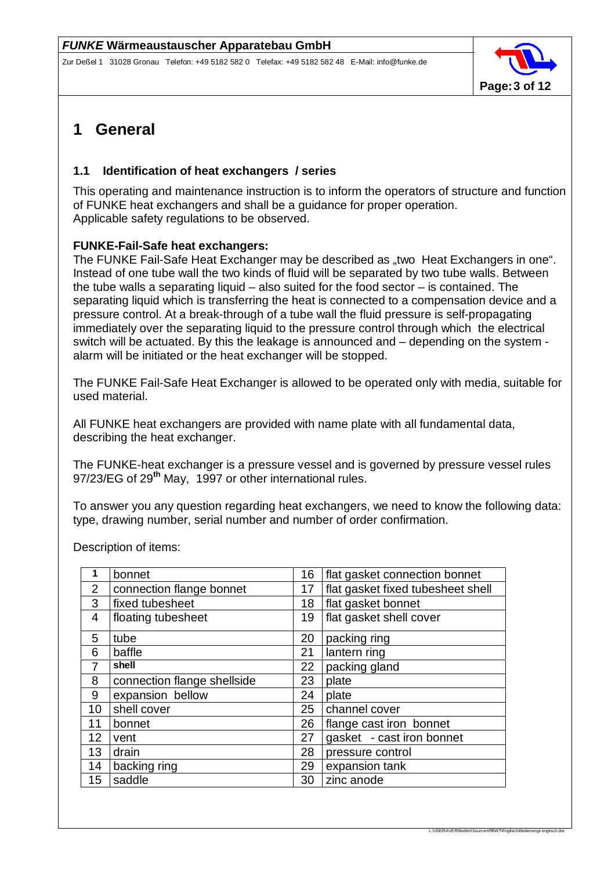

## **1 General**

### **1.1 Identification of heat exchangers / series**

This operating and maintenance instruction is to inform the operators of structure and function of FUNKE heat exchangers and shall be a guidance for proper operation. Applicable safety regulations to be observed.

### **FUNKE-Fail-Safe heat exchangers:**

The FUNKE Fail-Safe Heat Exchanger may be described as "two Heat Exchangers in one". Instead of one tube wall the two kinds of fluid will be separated by two tube walls. Between the tube walls a separating liquid – also suited for the food sector – is contained. The separating liquid which is transferring the heat is connected to a compensation device and a pressure control. At a break-through of a tube wall the fluid pressure is self-propagating immediately over the separating liquid to the pressure control through which the electrical switch will be actuated. By this the leakage is announced and – depending on the system alarm will be initiated or the heat exchanger will be stopped.

The FUNKE Fail-Safe Heat Exchanger is allowed to be operated only with media, suitable for used material.

All FUNKE heat exchangers are provided with name plate with all fundamental data, describing the heat exchanger.

The FUNKE-heat exchanger is a pressure vessel and is governed by pressure vessel rules 97/23/EG of 29**th** May, 1997 or other international rules.

To answer you any question regarding heat exchangers, we need to know the following data: type, drawing number, serial number and number of order confirmation.

| 1                | bonnet                      | 16 | flat gasket connection bonnet     |
|------------------|-----------------------------|----|-----------------------------------|
| $\overline{2}$   | connection flange bonnet    | 17 | flat gasket fixed tubesheet shell |
| 3                | fixed tubesheet             | 18 | flat gasket bonnet                |
| 4                | floating tubesheet          | 19 | flat gasket shell cover           |
| 5                | tube                        | 20 | packing ring                      |
| 6                | baffle                      | 21 | lantern ring                      |
|                  | shell                       | 22 | packing gland                     |
| 8                | connection flange shellside | 23 | plate                             |
| 9                | expansion bellow            | 24 | plate                             |
| 10               | shell cover                 | 25 | channel cover                     |
| 11               | bonnet                      | 26 | flange cast iron bonnet           |
| 12 <sup>2</sup>  | vent                        | 27 | gasket - cast iron bonnet         |
| 13               | drain                       | 28 | pressure control                  |
| 14               | backing ring                | 29 | expansion tank                    |
| 15 <sup>15</sup> | saddle                      | 30 | zinc anode                        |

Description of items: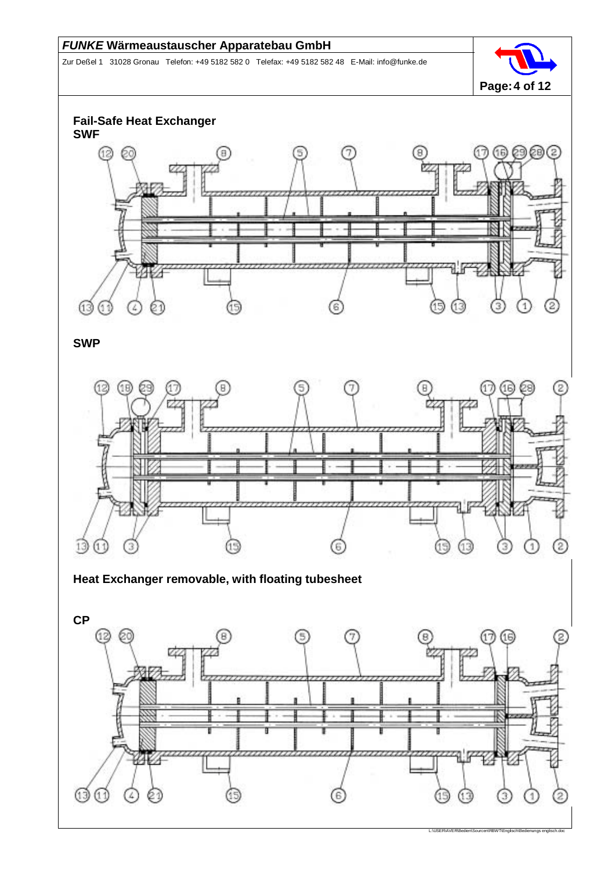Zur Deßel 1 31028 Gronau Telefon: +49 5182 582 0 Telefax: +49 5182 582 48 E-Mail: info@funke.de



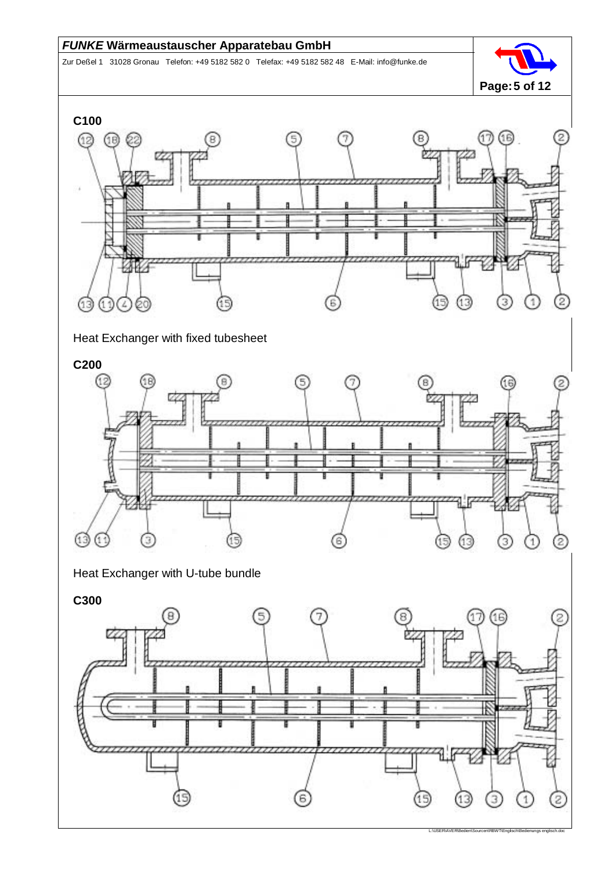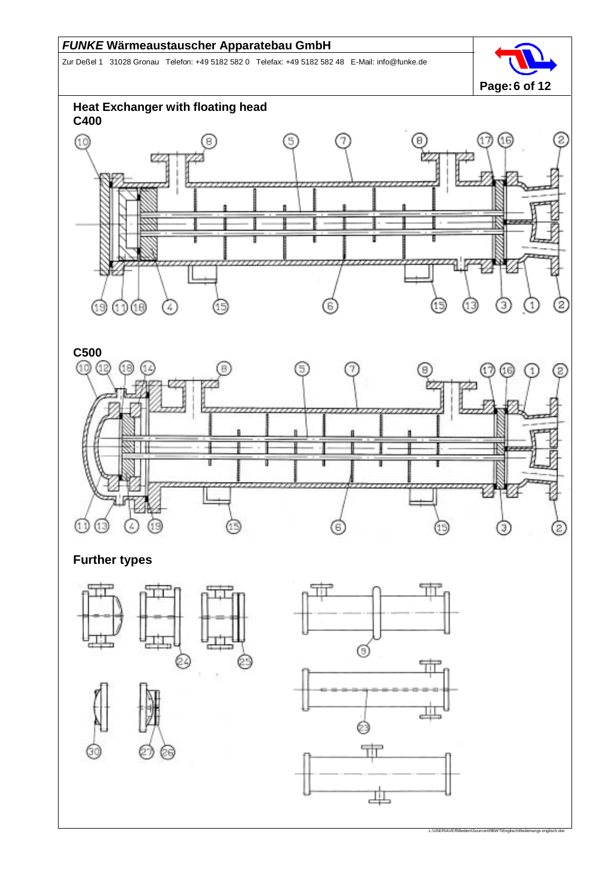Zur Deßel 1 31028 Gronau Telefon: +49 5182 582 0 Telefax: +49 5182 582 48 E-Mail: info@funke.de





**Further types**

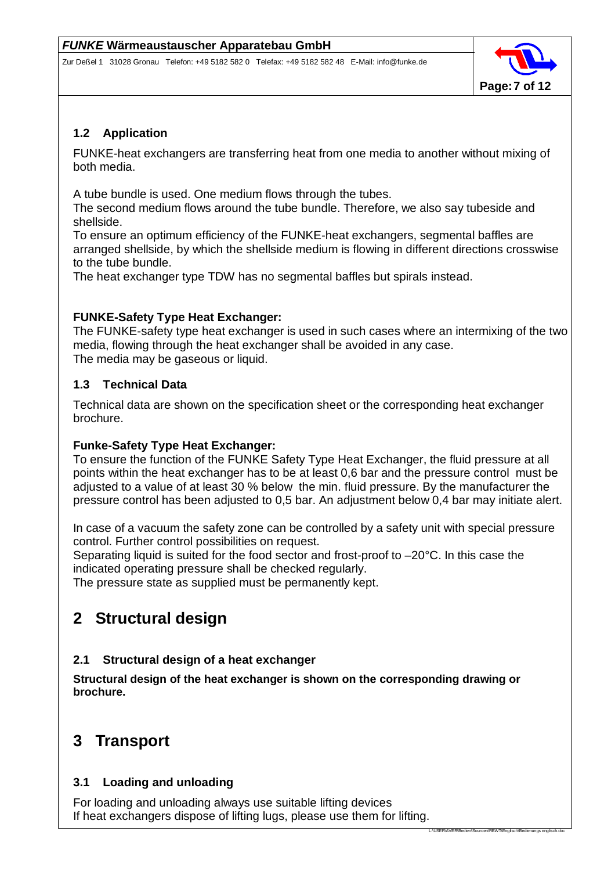

L:\USER\AVER\Bedien\Sourcen\RBWT\Englisch\Bedienungs eng

### **1.2 Application**

FUNKE-heat exchangers are transferring heat from one media to another without mixing of both media.

A tube bundle is used. One medium flows through the tubes.

The second medium flows around the tube bundle. Therefore, we also say tubeside and shellside.

To ensure an optimum efficiency of the FUNKE-heat exchangers, segmental baffles are arranged shellside, by which the shellside medium is flowing in different directions crosswise to the tube bundle.

The heat exchanger type TDW has no segmental baffles but spirals instead.

### **FUNKE-Safety Type Heat Exchanger:**

The FUNKE-safety type heat exchanger is used in such cases where an intermixing of the two media, flowing through the heat exchanger shall be avoided in any case. The media may be gaseous or liquid.

## **1.3 Technical Data**

Technical data are shown on the specification sheet or the corresponding heat exchanger brochure.

### **Funke-Safety Type Heat Exchanger:**

To ensure the function of the FUNKE Safety Type Heat Exchanger, the fluid pressure at all points within the heat exchanger has to be at least 0,6 bar and the pressure control must be adjusted to a value of at least 30 % below the min. fluid pressure. By the manufacturer the pressure control has been adjusted to 0,5 bar. An adjustment below 0,4 bar may initiate alert.

In case of a vacuum the safety zone can be controlled by a safety unit with special pressure control. Further control possibilities on request.

Separating liquid is suited for the food sector and frost-proof to –20°C. In this case the indicated operating pressure shall be checked regularly.

The pressure state as supplied must be permanently kept.

# **2 Structural design**

### **2.1 Structural design of a heat exchanger**

**Structural design of the heat exchanger is shown on the corresponding drawing or brochure.**

## **3 Transport**

### **3.1 Loading and unloading**

For loading and unloading always use suitable lifting devices If heat exchangers dispose of lifting lugs, please use them for lifting.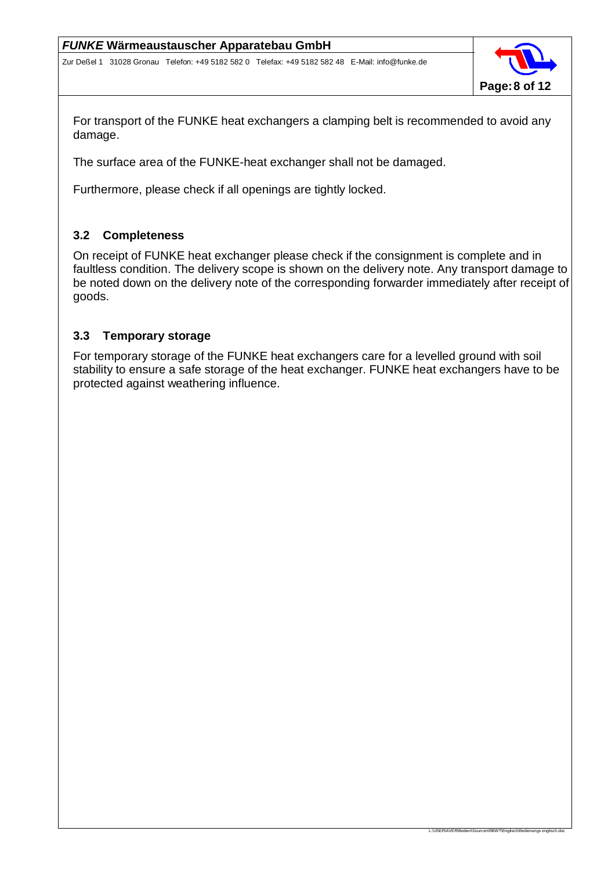

L:\USER\AVER\Bedien\Sourcen\RBWT\Englisch\Bedienungs engl

For transport of the FUNKE heat exchangers a clamping belt is recommended to avoid any damage.

The surface area of the FUNKE-heat exchanger shall not be damaged.

Furthermore, please check if all openings are tightly locked.

### **3.2 Completeness**

On receipt of FUNKE heat exchanger please check if the consignment is complete and in faultless condition. The delivery scope is shown on the delivery note. Any transport damage to be noted down on the delivery note of the corresponding forwarder immediately after receipt of goods.

### **3.3 Temporary storage**

For temporary storage of the FUNKE heat exchangers care for a levelled ground with soil stability to ensure a safe storage of the heat exchanger. FUNKE heat exchangers have to be protected against weathering influence.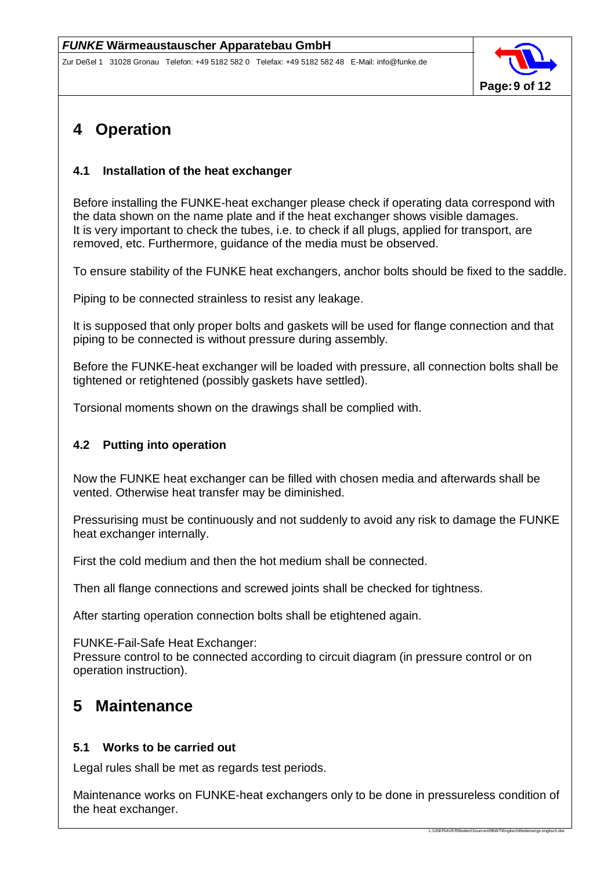

## **4 Operation**

### **4.1 Installation of the heat exchanger**

Before installing the FUNKE-heat exchanger please check if operating data correspond with the data shown on the name plate and if the heat exchanger shows visible damages. It is very important to check the tubes, i.e. to check if all plugs, applied for transport, are removed, etc. Furthermore, guidance of the media must be observed.

To ensure stability of the FUNKE heat exchangers, anchor bolts should be fixed to the saddle.

Piping to be connected strainless to resist any leakage.

It is supposed that only proper bolts and gaskets will be used for flange connection and that piping to be connected is without pressure during assembly.

Before the FUNKE-heat exchanger will be loaded with pressure, all connection bolts shall be tightened or retightened (possibly gaskets have settled).

Torsional moments shown on the drawings shall be complied with.

#### **4.2 Putting into operation**

Now the FUNKE heat exchanger can be filled with chosen media and afterwards shall be vented. Otherwise heat transfer may be diminished.

Pressurising must be continuously and not suddenly to avoid any risk to damage the FUNKE heat exchanger internally.

First the cold medium and then the hot medium shall be connected.

Then all flange connections and screwed joints shall be checked for tightness.

After starting operation connection bolts shall be etightened again.

FUNKE-Fail-Safe Heat Exchanger:

Pressure control to be connected according to circuit diagram (in pressure control or on operation instruction).

## **5 Maintenance**

#### **5.1 Works to be carried out**

Legal rules shall be met as regards test periods.

Maintenance works on FUNKE-heat exchangers only to be done in pressureless condition of the heat exchanger.

L:\USER\AVER\Bedien\Sourcen\RBWT\Englisch\Bedienungs englis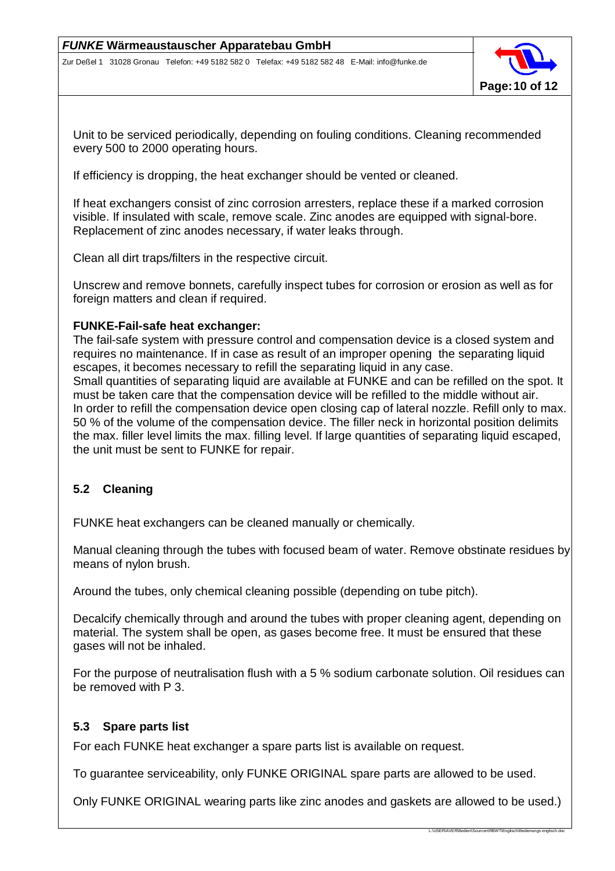

Unit to be serviced periodically, depending on fouling conditions. Cleaning recommended every 500 to 2000 operating hours.

If efficiency is dropping, the heat exchanger should be vented or cleaned.

If heat exchangers consist of zinc corrosion arresters, replace these if a marked corrosion visible. If insulated with scale, remove scale. Zinc anodes are equipped with signal-bore. Replacement of zinc anodes necessary, if water leaks through.

Clean all dirt traps/filters in the respective circuit.

Unscrew and remove bonnets, carefully inspect tubes for corrosion or erosion as well as for foreign matters and clean if required.

#### **FUNKE-Fail-safe heat exchanger:**

The fail-safe system with pressure control and compensation device is a closed system and requires no maintenance. If in case as result of an improper opening the separating liquid escapes, it becomes necessary to refill the separating liquid in any case. Small quantities of separating liquid are available at FUNKE and can be refilled on the spot. It must be taken care that the compensation device will be refilled to the middle without air. In order to refill the compensation device open closing cap of lateral nozzle. Refill only to max. 50 % of the volume of the compensation device. The filler neck in horizontal position delimits the max. filler level limits the max. filling level. If large quantities of separating liquid escaped, the unit must be sent to FUNKE for repair.

#### **5.2 Cleaning**

FUNKE heat exchangers can be cleaned manually or chemically.

Manual cleaning through the tubes with focused beam of water. Remove obstinate residues by means of nylon brush.

Around the tubes, only chemical cleaning possible (depending on tube pitch).

Decalcify chemically through and around the tubes with proper cleaning agent, depending on material. The system shall be open, as gases become free. It must be ensured that these gases will not be inhaled.

For the purpose of neutralisation flush with a 5 % sodium carbonate solution. Oil residues can be removed with P 3.

#### **5.3 Spare parts list**

For each FUNKE heat exchanger a spare parts list is available on request.

To guarantee serviceability, only FUNKE ORIGINAL spare parts are allowed to be used.

Only FUNKE ORIGINAL wearing parts like zinc anodes and gaskets are allowed to be used.)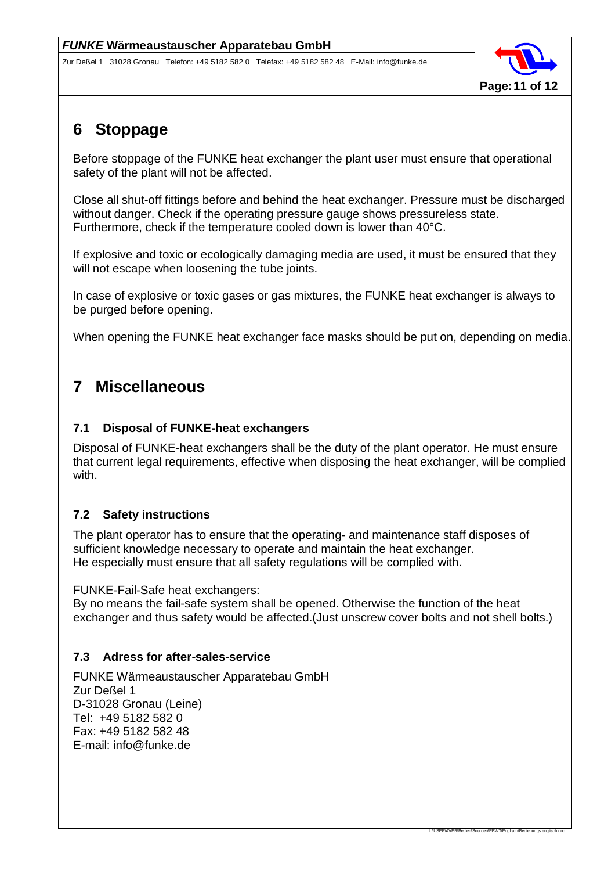

L:\USER\AVER\Bedien\Sourcen\RBWT\Englisch\Bedienungs engl

## **6 Stoppage**

Before stoppage of the FUNKE heat exchanger the plant user must ensure that operational safety of the plant will not be affected.

Close all shut-off fittings before and behind the heat exchanger. Pressure must be discharged without danger. Check if the operating pressure gauge shows pressureless state. Furthermore, check if the temperature cooled down is lower than 40°C.

If explosive and toxic or ecologically damaging media are used, it must be ensured that they will not escape when loosening the tube joints.

In case of explosive or toxic gases or gas mixtures, the FUNKE heat exchanger is always to be purged before opening.

When opening the FUNKE heat exchanger face masks should be put on, depending on media.

## **7 Miscellaneous**

### **7.1 Disposal of FUNKE-heat exchangers**

Disposal of FUNKE-heat exchangers shall be the duty of the plant operator. He must ensure that current legal requirements, effective when disposing the heat exchanger, will be complied with.

### **7.2 Safety instructions**

The plant operator has to ensure that the operating- and maintenance staff disposes of sufficient knowledge necessary to operate and maintain the heat exchanger. He especially must ensure that all safety regulations will be complied with.

FUNKE-Fail-Safe heat exchangers:

By no means the fail-safe system shall be opened. Otherwise the function of the heat exchanger and thus safety would be affected.(Just unscrew cover bolts and not shell bolts.)

### **7.3 Adress for after-sales-service**

FUNKE Wärmeaustauscher Apparatebau GmbH Zur Deßel 1 D-31028 Gronau (Leine) Tel: +49 5182 582 0 Fax: +49 5182 582 48 E-mail: info@funke.de